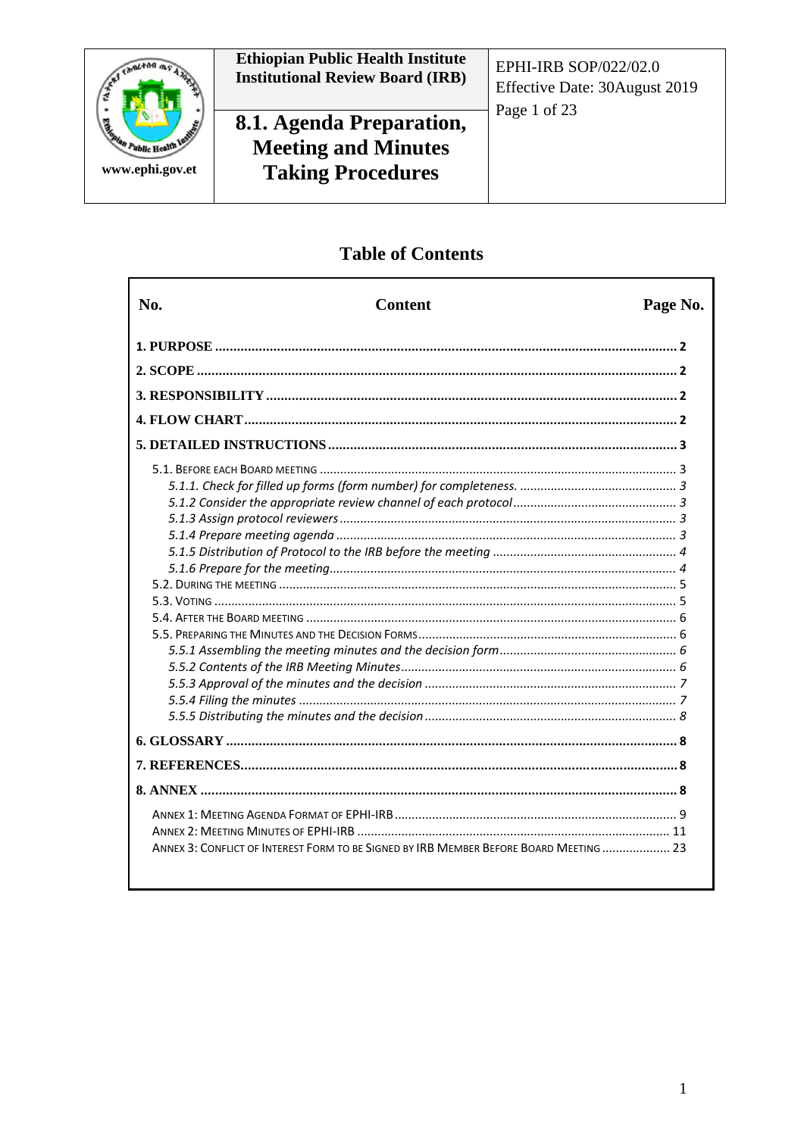

# **Ethiopian Public Health Institute<br>Institutional Review Board (IRB)**

# 8.1. Agenda Preparation, **Meeting and Minutes Taking Procedures**

EPHI-IRB SOP/022/02.0 Effective Date: 30August 2019 Page 1 of 23

# **Table of Contents**

|                                                                                        | No. | <b>Content</b> | Page No. |
|----------------------------------------------------------------------------------------|-----|----------------|----------|
|                                                                                        |     |                |          |
|                                                                                        |     |                |          |
|                                                                                        |     |                |          |
|                                                                                        |     |                |          |
|                                                                                        |     |                |          |
|                                                                                        |     |                |          |
|                                                                                        |     |                |          |
|                                                                                        |     |                |          |
| ANNEX 3: CONFLICT OF INTEREST FORM TO BE SIGNED BY IRB MEMBER BEFORE BOARD MEETING  23 |     |                |          |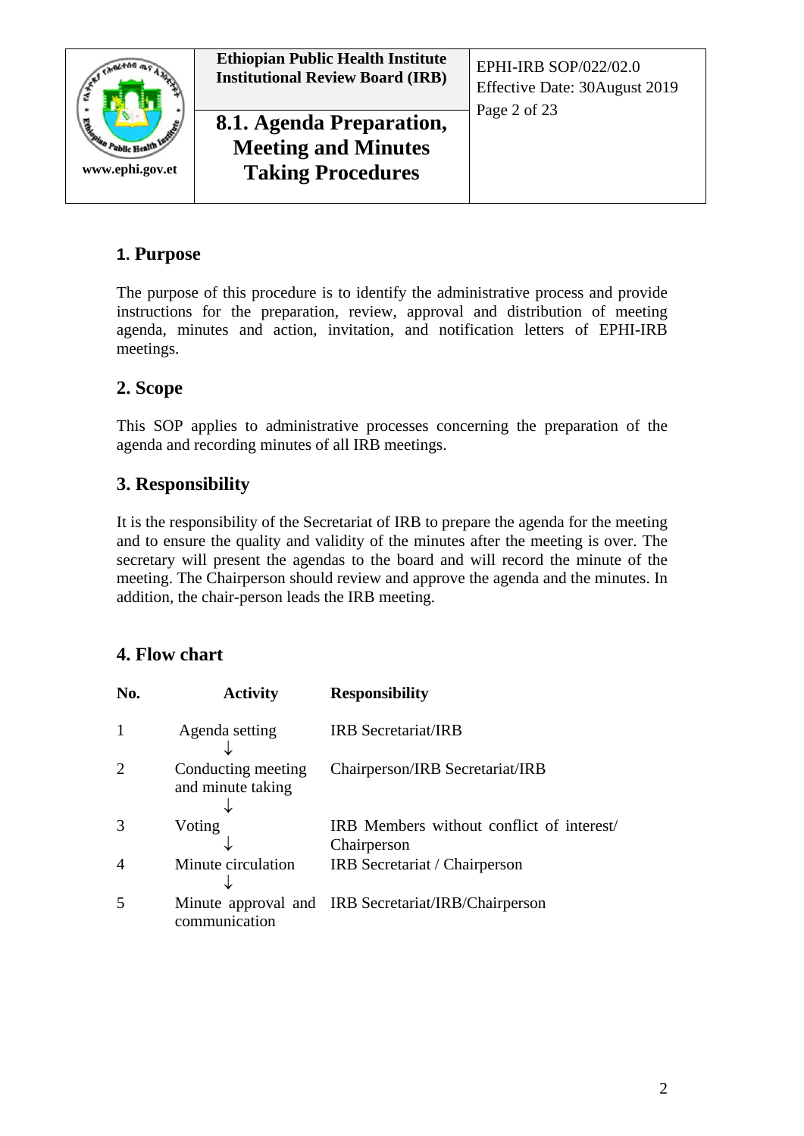

# <span id="page-1-0"></span>**1. Purpose**

The purpose of this procedure is to identify the administrative process and provide instructions for the preparation, review, approval and distribution of meeting agenda, minutes and action, invitation, and notification letters of EPHI-IRB meetings.

# <span id="page-1-1"></span>**2. Scope**

This SOP applies to administrative processes concerning the preparation of the agenda and recording minutes of all IRB meetings.

# <span id="page-1-2"></span>**3. Responsibility**

It is the responsibility of the Secretariat of IRB to prepare the agenda for the meeting and to ensure the quality and validity of the minutes after the meeting is over. The secretary will present the agendas to the board and will record the minute of the meeting. The Chairperson should review and approve the agenda and the minutes. In addition, the chair-person leads the IRB meeting.

# <span id="page-1-3"></span>**4. Flow chart**

| No.            | <b>Activity</b>                         | <b>Responsibility</b>                                    |
|----------------|-----------------------------------------|----------------------------------------------------------|
| 1              | Agenda setting                          | <b>IRB</b> Secretariat/IRB                               |
| $\overline{2}$ | Conducting meeting<br>and minute taking | Chairperson/IRB Secretariat/IRB                          |
| 3              | Voting                                  | IRB Members without conflict of interest/<br>Chairperson |
| 4              | Minute circulation                      | IRB Secretariat / Chairperson                            |
| 5              | communication                           | Minute approval and IRB Secretariat/IRB/Chairperson      |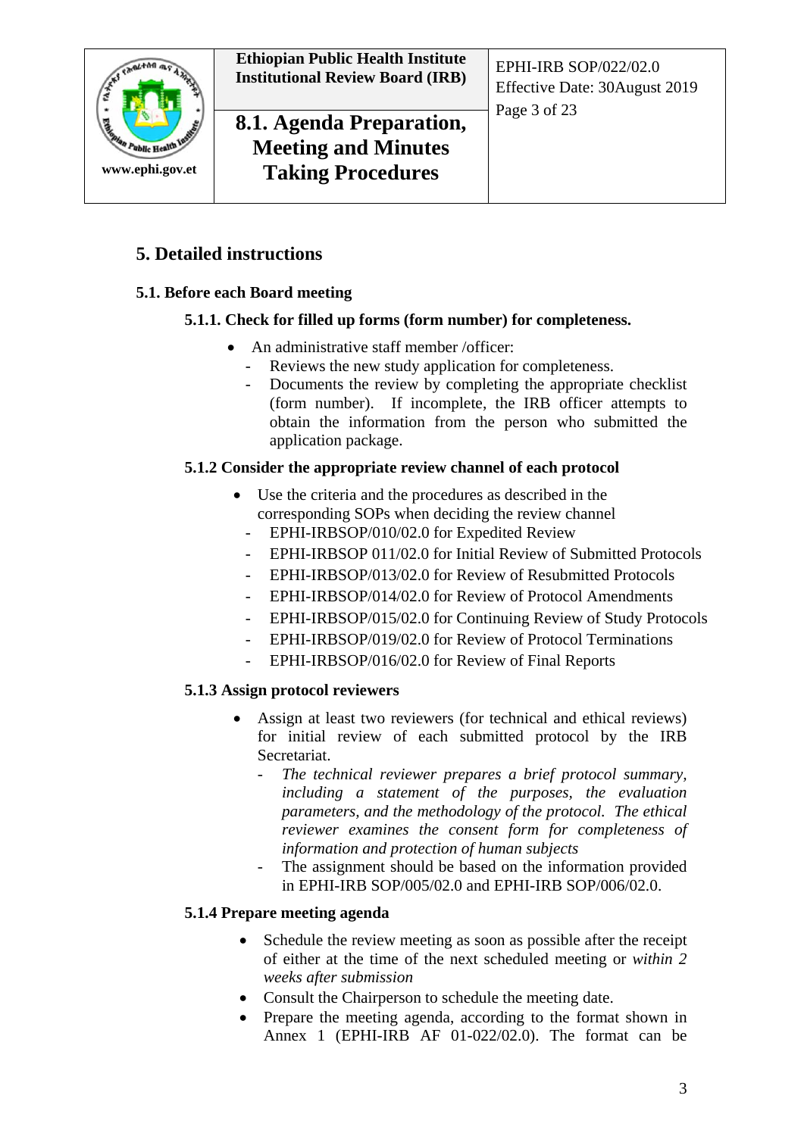

# **8.1. Agenda Preparation, Meeting and Minutes Taking Procedures**

Effective Date: 30August 2019 Page 3 of 23

# <span id="page-2-0"></span>**5. Detailed instructions**

# <span id="page-2-2"></span><span id="page-2-1"></span>**5.1. Before each Board meeting**

## **5.1.1. Check for filled up forms (form number) for completeness.**

- An administrative staff member /officer:
	- Reviews the new study application for completeness.
	- Documents the review by completing the appropriate checklist (form number). If incomplete, the IRB officer attempts to obtain the information from the person who submitted the application package.

## <span id="page-2-3"></span>**5.1.2 Consider the appropriate review channel of each protocol**

- Use the criteria and the procedures as described in the corresponding SOPs when deciding the review channel
	- EPHI-IRBSOP/010/02.0 for Expedited Review
	- EPHI-IRBSOP 011/02.0 for Initial Review of Submitted Protocols
	- EPHI-IRBSOP/013/02.0 for Review of Resubmitted Protocols
	- EPHI-IRBSOP/014/02.0 for Review of Protocol Amendments
	- EPHI-IRBSOP/015/02.0 for Continuing Review of Study Protocols
	- EPHI-IRBSOP/019/02.0 for Review of Protocol Terminations
	- EPHI-IRBSOP/016/02.0 for Review of Final Reports

# <span id="page-2-4"></span>**5.1.3 Assign protocol reviewers**

- Assign at least two reviewers (for technical and ethical reviews) for initial review of each submitted protocol by the IRB Secretariat.
	- *The technical reviewer prepares a brief protocol summary, including a statement of the purposes, the evaluation parameters, and the methodology of the protocol. The ethical reviewer examines the consent form for completeness of information and protection of human subjects*
	- The assignment should be based on the information provided in EPHI-IRB SOP/005/02.0 and EPHI-IRB SOP/006/02.0.

#### <span id="page-2-5"></span>**5.1.4 Prepare meeting agenda**

- Schedule the review meeting as soon as possible after the receipt of either at the time of the next scheduled meeting or *within 2 weeks after submission*
- Consult the Chairperson to schedule the meeting date.
- Prepare the meeting agenda, according to the format shown in Annex 1 (EPHI-IRB AF 01-022/02.0). The format can be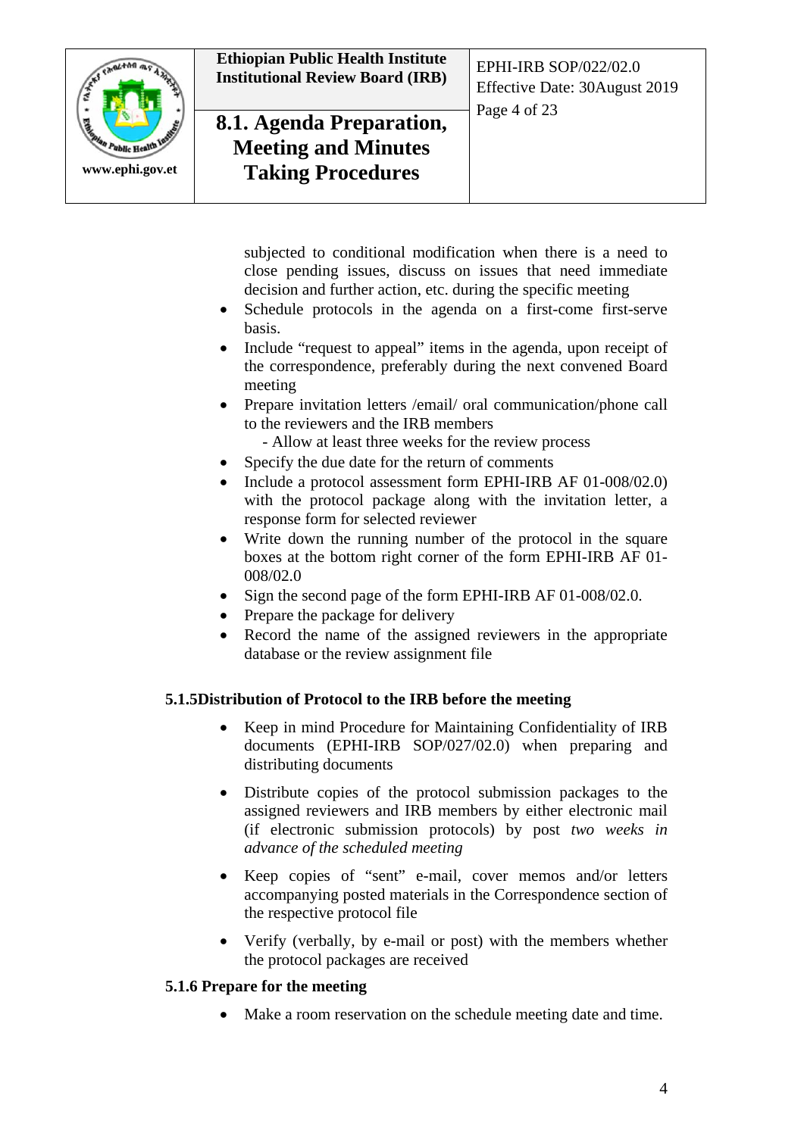

# **8.1. Agenda Preparation, Meeting and Minutes Taking Procedures**

Effective Date: 30August 2019 Page 4 of 23

subjected to conditional modification when there is a need to close pending issues, discuss on issues that need immediate decision and further action, etc. during the specific meeting

- Schedule protocols in the agenda on a first-come first-serve basis.
- Include "request to appeal" items in the agenda, upon receipt of the correspondence, preferably during the next convened Board meeting
- Prepare invitation letters /email/ oral communication/phone call to the reviewers and the IRB members
	- Allow at least three weeks for the review process
- Specify the due date for the return of comments
- Include a protocol assessment form EPHI-IRB AF 01-008/02.0) with the protocol package along with the invitation letter, a response form for selected reviewer
- Write down the running number of the protocol in the square boxes at the bottom right corner of the form EPHI-IRB AF 01- 008/02.0
- Sign the second page of the form EPHI-IRB AF 01-008/02.0.
- Prepare the package for delivery
- Record the name of the assigned reviewers in the appropriate database or the review assignment file

#### <span id="page-3-0"></span>**5.1.5Distribution of Protocol to the IRB before the meeting**

- Keep in mind Procedure for Maintaining Confidentiality of IRB documents (EPHI-IRB SOP/027/02.0) when preparing and distributing documents
- Distribute copies of the protocol submission packages to the assigned reviewers and IRB members by either electronic mail (if electronic submission protocols) by post *two weeks in advance of the scheduled meeting*
- Keep copies of "sent" e-mail, cover memos and/or letters accompanying posted materials in the Correspondence section of the respective protocol file
- Verify (verbally, by e-mail or post) with the members whether the protocol packages are received

# <span id="page-3-1"></span>**5.1.6 Prepare for the meeting**

• Make a room reservation on the schedule meeting date and time.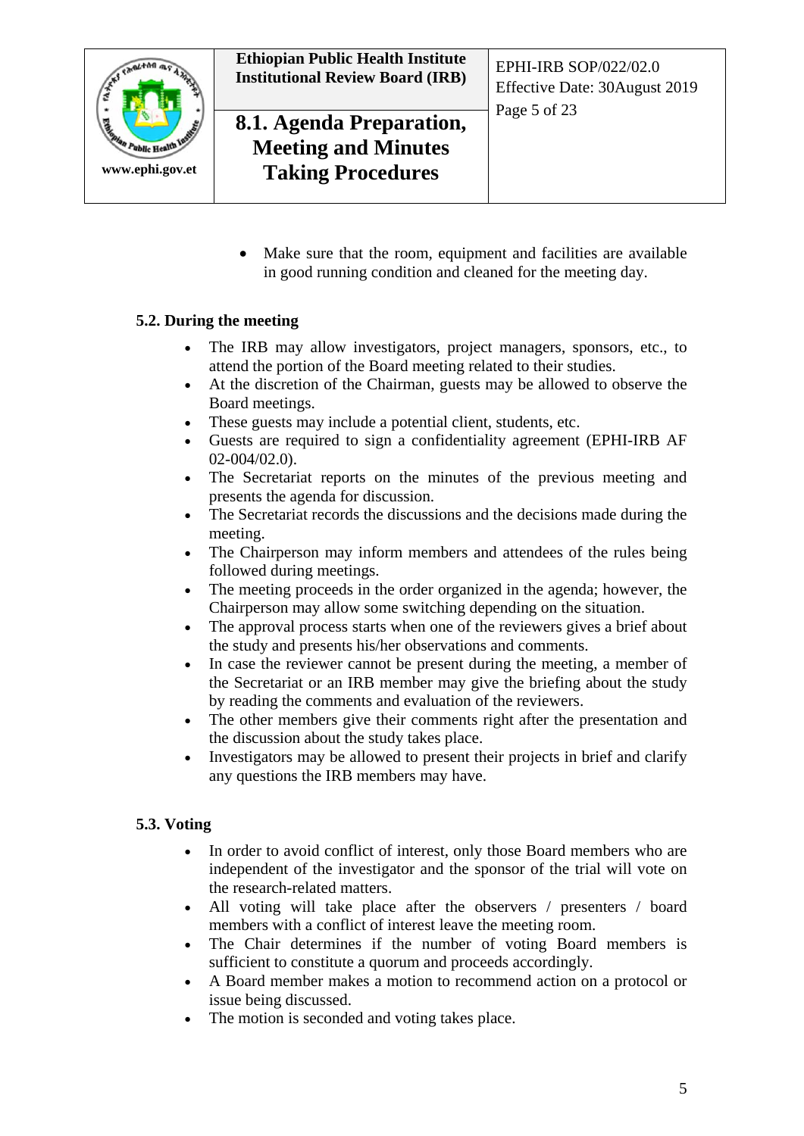

Make sure that the room, equipment and facilities are available in good running condition and cleaned for the meeting day.

#### <span id="page-4-0"></span>**5.2. During the meeting**

- The IRB may allow investigators, project managers, sponsors, etc., to attend the portion of the Board meeting related to their studies.
- At the discretion of the Chairman, guests may be allowed to observe the Board meetings.
- These guests may include a potential client, students, etc.
- Guests are required to sign a confidentiality agreement (EPHI-IRB AF 02-004/02.0).
- The Secretariat reports on the minutes of the previous meeting and presents the agenda for discussion.
- The Secretariat records the discussions and the decisions made during the meeting.
- The Chairperson may inform members and attendees of the rules being followed during meetings.
- The meeting proceeds in the order organized in the agenda; however, the Chairperson may allow some switching depending on the situation.
- The approval process starts when one of the reviewers gives a brief about the study and presents his/her observations and comments.
- In case the reviewer cannot be present during the meeting, a member of the Secretariat or an IRB member may give the briefing about the study by reading the comments and evaluation of the reviewers.
- The other members give their comments right after the presentation and the discussion about the study takes place.
- Investigators may be allowed to present their projects in brief and clarify any questions the IRB members may have.

#### <span id="page-4-1"></span>**5.3. Voting**

- In order to avoid conflict of interest, only those Board members who are independent of the investigator and the sponsor of the trial will vote on the research-related matters.
- All voting will take place after the observers / presenters / board members with a conflict of interest leave the meeting room.
- The Chair determines if the number of voting Board members is sufficient to constitute a quorum and proceeds accordingly.
- A Board member makes a motion to recommend action on a protocol or issue being discussed.
- The motion is seconded and voting takes place.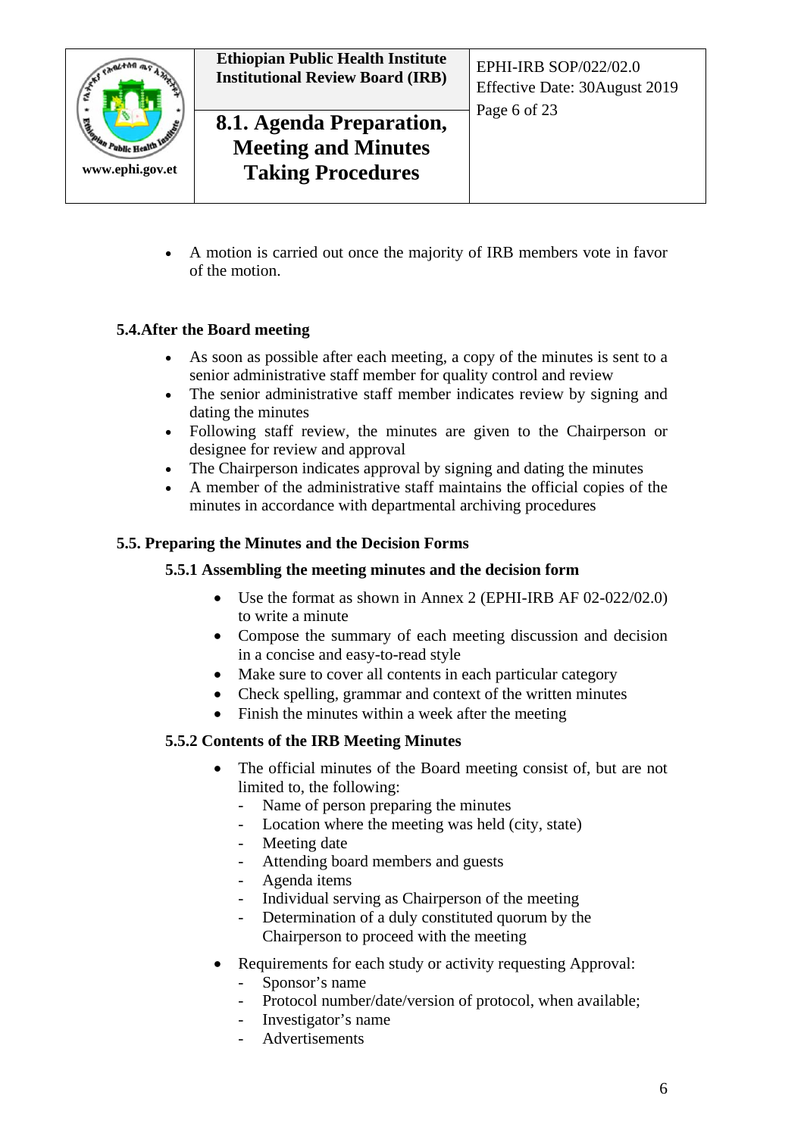

# **8.1. Agenda Preparation, Meeting and Minutes Taking Procedures**

• A motion is carried out once the majority of IRB members vote in favor of the motion.

# <span id="page-5-0"></span>**5.4.After the Board meeting**

- As soon as possible after each meeting, a copy of the minutes is sent to a senior administrative staff member for quality control and review
- The senior administrative staff member indicates review by signing and dating the minutes
- Following staff review, the minutes are given to the Chairperson or designee for review and approval
- The Chairperson indicates approval by signing and dating the minutes
- A member of the administrative staff maintains the official copies of the minutes in accordance with departmental archiving procedures

## <span id="page-5-1"></span>**5.5. Preparing the Minutes and the Decision Forms**

#### <span id="page-5-2"></span>**5.5.1 Assembling the meeting minutes and the decision form**

- Use the format as shown in Annex 2 (EPHI-IRB AF 02-022/02.0) to write a minute
- Compose the summary of each meeting discussion and decision in a concise and easy-to-read style
- Make sure to cover all contents in each particular category
- Check spelling, grammar and context of the written minutes
- Finish the minutes within a week after the meeting

# <span id="page-5-3"></span>**5.5.2 Contents of the IRB Meeting Minutes**

- The official minutes of the Board meeting consist of, but are not limited to, the following:
	- Name of person preparing the minutes
	- Location where the meeting was held (city, state)
	- Meeting date
	- Attending board members and guests
	- Agenda items
	- Individual serving as Chairperson of the meeting
	- Determination of a duly constituted quorum by the Chairperson to proceed with the meeting
- Requirements for each study or activity requesting Approval:
	- Sponsor's name
	- Protocol number/date/version of protocol, when available;
	- Investigator's name
	- Advertisements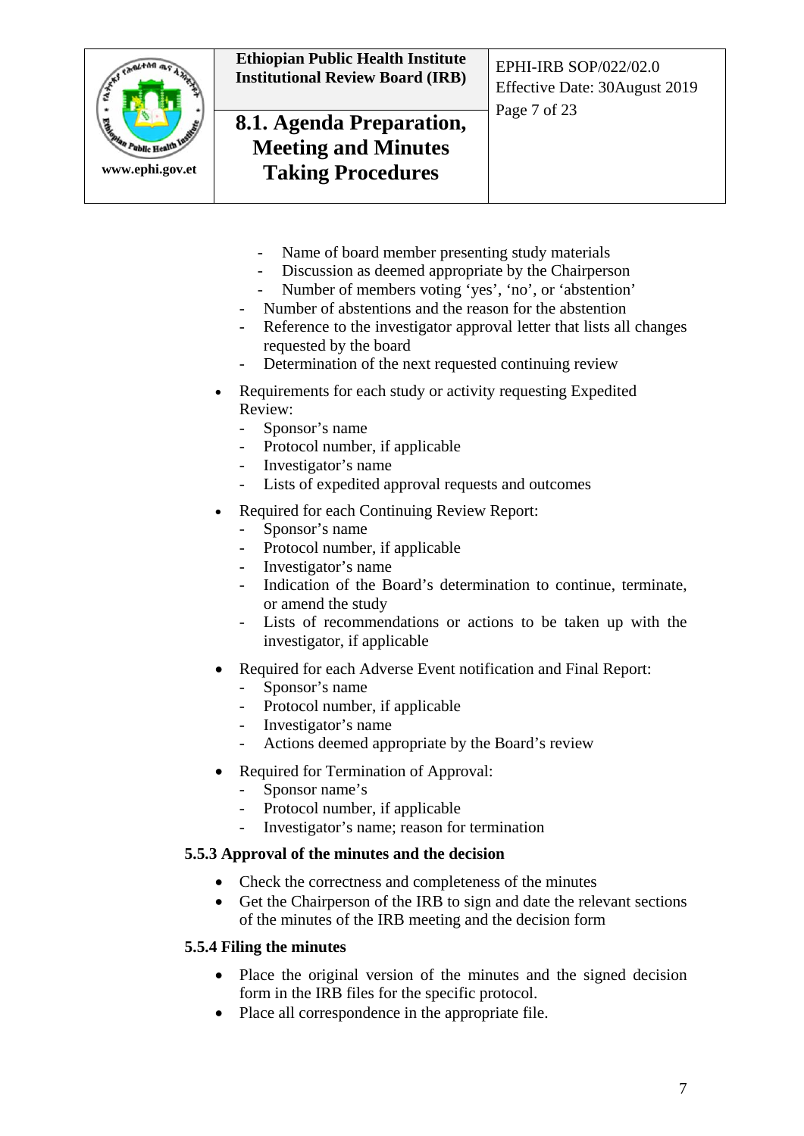

# **8.1. Agenda Preparation, Meeting and Minutes Taking Procedures**

Effective Date: 30August 2019 Page 7 of 23

- Name of board member presenting study materials
- Discussion as deemed appropriate by the Chairperson
- Number of members voting 'yes', 'no', or 'abstention'
- Number of abstentions and the reason for the abstention
- Reference to the investigator approval letter that lists all changes requested by the board
- Determination of the next requested continuing review
- Requirements for each study or activity requesting Expedited Review:
	- Sponsor's name
	- Protocol number, if applicable
	- Investigator's name
	- Lists of expedited approval requests and outcomes
- Required for each Continuing Review Report:
	- Sponsor's name
	- Protocol number, if applicable
	- Investigator's name
	- Indication of the Board's determination to continue, terminate, or amend the study
	- Lists of recommendations or actions to be taken up with the investigator, if applicable
- Required for each Adverse Event notification and Final Report:
	- Sponsor's name
	- Protocol number, if applicable
	- Investigator's name
	- Actions deemed appropriate by the Board's review
- Required for Termination of Approval:
	- Sponsor name's
	- Protocol number, if applicable
	- Investigator's name; reason for termination

#### <span id="page-6-0"></span>**5.5.3 Approval of the minutes and the decision**

- Check the correctness and completeness of the minutes
- Get the Chairperson of the IRB to sign and date the relevant sections of the minutes of the IRB meeting and the decision form

#### <span id="page-6-1"></span>**5.5.4 Filing the minutes**

- Place the original version of the minutes and the signed decision form in the IRB files for the specific protocol.
- Place all correspondence in the appropriate file.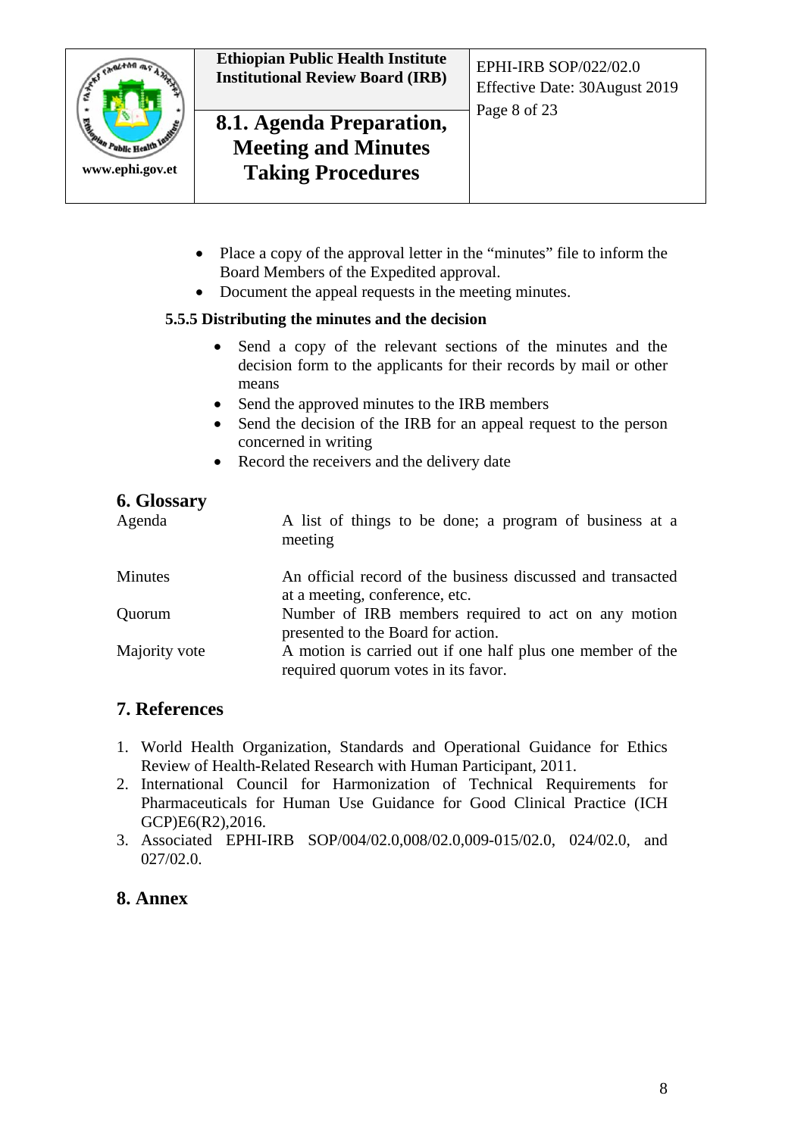

# **8.1. Agenda Preparation, Meeting and Minutes Taking Procedures**

- Place a copy of the approval letter in the "minutes" file to inform the Board Members of the Expedited approval.
- Document the appeal requests in the meeting minutes.

## <span id="page-7-0"></span>**5.5.5 Distributing the minutes and the decision**

- Send a copy of the relevant sections of the minutes and the decision form to the applicants for their records by mail or other means
- Send the approved minutes to the IRB members
- Send the decision of the IRB for an appeal request to the person concerned in writing
- Record the receivers and the delivery date

# <span id="page-7-1"></span>**6. Glossary**

| $\sim$ $\sim$ $\sim$ $\sim$ $\sim$ $\sim$ $\sim$<br>Agenda | A list of things to be done; a program of business at a<br>meeting                                |
|------------------------------------------------------------|---------------------------------------------------------------------------------------------------|
| Minutes                                                    | An official record of the business discussed and transacted<br>at a meeting, conference, etc.     |
| Quorum                                                     | Number of IRB members required to act on any motion<br>presented to the Board for action.         |
| Majority vote                                              | A motion is carried out if one half plus one member of the<br>required quorum votes in its favor. |

# <span id="page-7-2"></span>**7. References**

- 1. World Health Organization, Standards and Operational Guidance for Ethics Review of Health-Related Research with Human Participant, 2011.
- 2. International Council for Harmonization of Technical Requirements for Pharmaceuticals for Human Use Guidance for Good Clinical Practice (ICH GCP)E6(R2),2016.
- 3. Associated EPHI-IRB SOP/004/02.0,008/02.0,009-015/02.0, 024/02.0, and 027/02.0.

# <span id="page-7-3"></span>**8. Annex**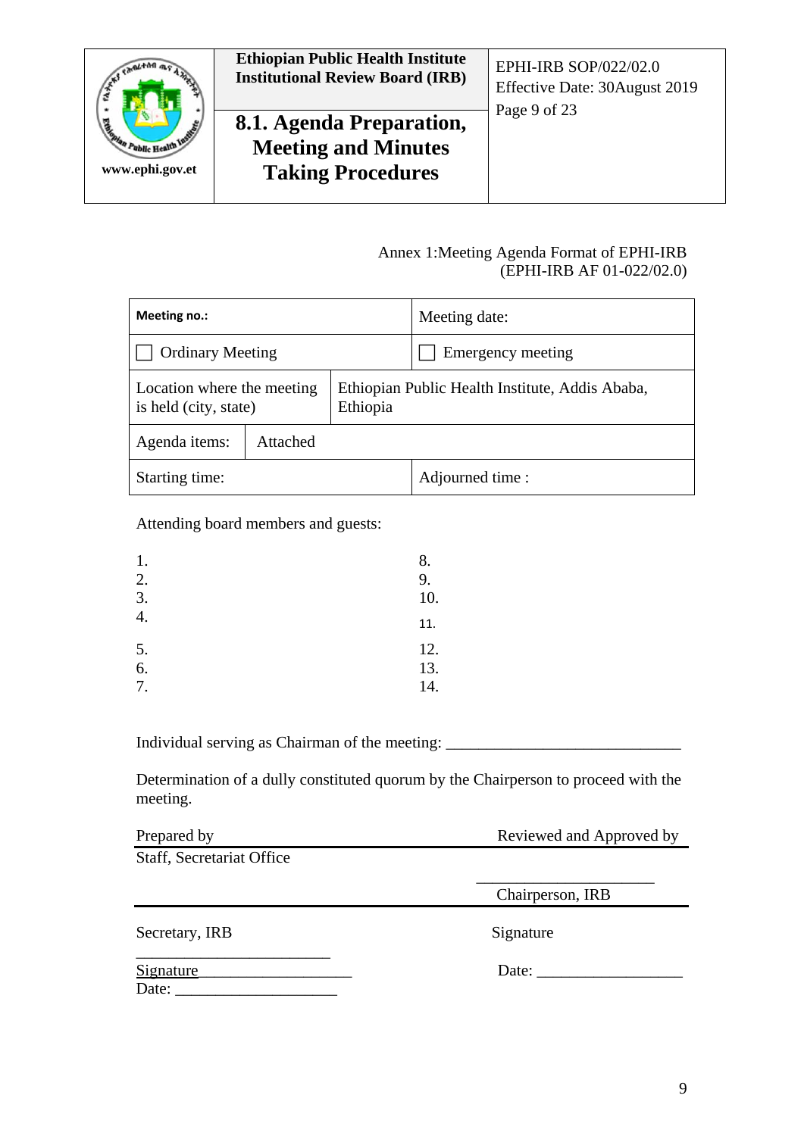

# **8.1. Agenda Preparation, Meeting and Minutes Taking Procedures**

Effective Date: 30August 2019 Page 9 of 23

#### Annex 1:Meeting Agenda Format of EPHI-IRB (EPHI-IRB AF 01-022/02.0)

<span id="page-8-0"></span>

| Meeting no.:                                                    |          | Meeting date:                                   |
|-----------------------------------------------------------------|----------|-------------------------------------------------|
| <b>Ordinary Meeting</b>                                         |          | Emergency meeting                               |
| Location where the meeting<br>Ethiopia<br>is held (city, state) |          | Ethiopian Public Health Institute, Addis Ababa, |
| Agenda items:                                                   | Attached |                                                 |
| Starting time:                                                  |          | Adjourned time :                                |

Attending board members and guests:

| 1. | 8.  |
|----|-----|
| 2. | 9.  |
| 3. | 10. |
| 4. | 11. |
| 5. | 12. |
| 6. | 13. |
| 7. | 14. |

Individual serving as Chairman of the meeting: \_\_\_\_\_\_\_\_\_\_\_\_\_\_\_\_\_\_\_\_\_\_\_\_\_\_\_\_\_\_\_\_\_

Determination of a dully constituted quorum by the Chairperson to proceed with the meeting.

| Prepared by               | Reviewed and Approved by |  |
|---------------------------|--------------------------|--|
| Staff, Secretariat Office |                          |  |
|                           | Chairperson, IRB         |  |
| Secretary, IRB            | Signature                |  |
| <b>Signature</b><br>Date: | Date:                    |  |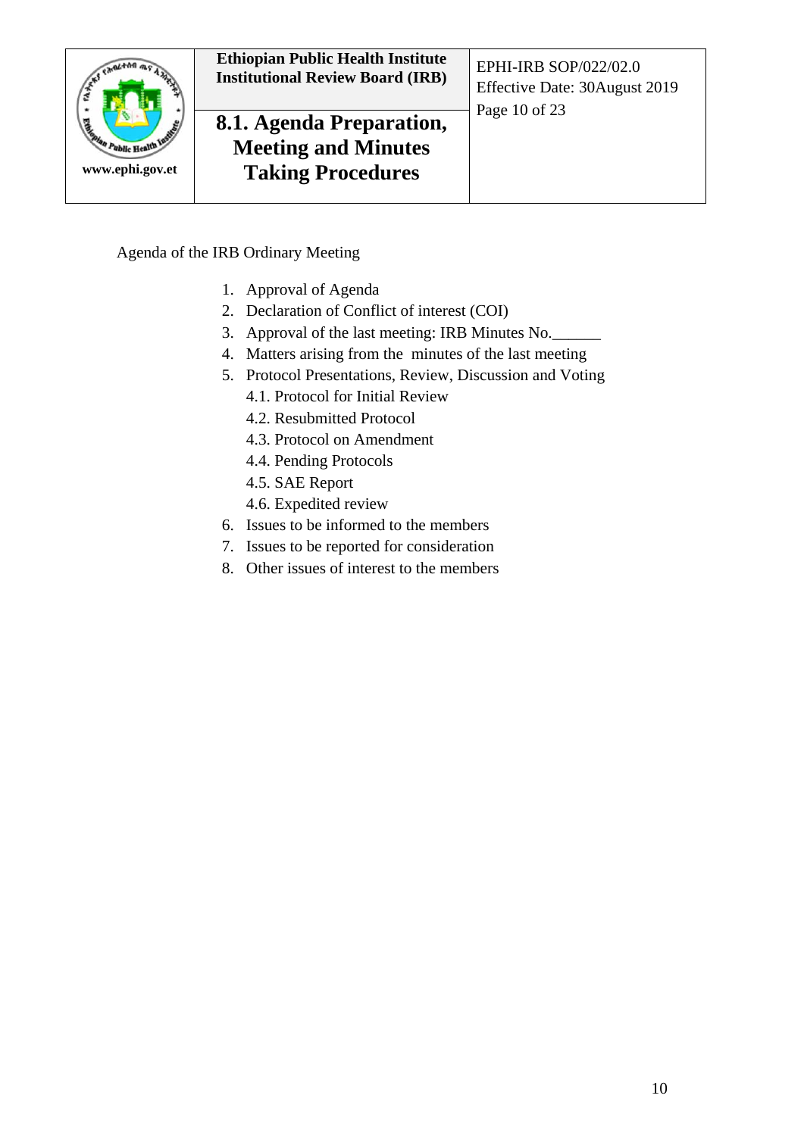

Agenda of the IRB Ordinary Meeting

- 1. Approval of Agenda
- 2. Declaration of Conflict of interest (COI)
- 3. Approval of the last meeting: IRB Minutes No.\_\_\_\_\_\_
- 4. Matters arising from the minutes of the last meeting
- 5. Protocol Presentations, Review, Discussion and Voting
	- 4.1. Protocol for Initial Review
	- 4.2. Resubmitted Protocol
	- 4.3. Protocol on Amendment
	- 4.4. Pending Protocols
	- 4.5. SAE Report
	- 4.6. Expedited review
- 6. Issues to be informed to the members
- 7. Issues to be reported for consideration
- 8. Other issues of interest to the members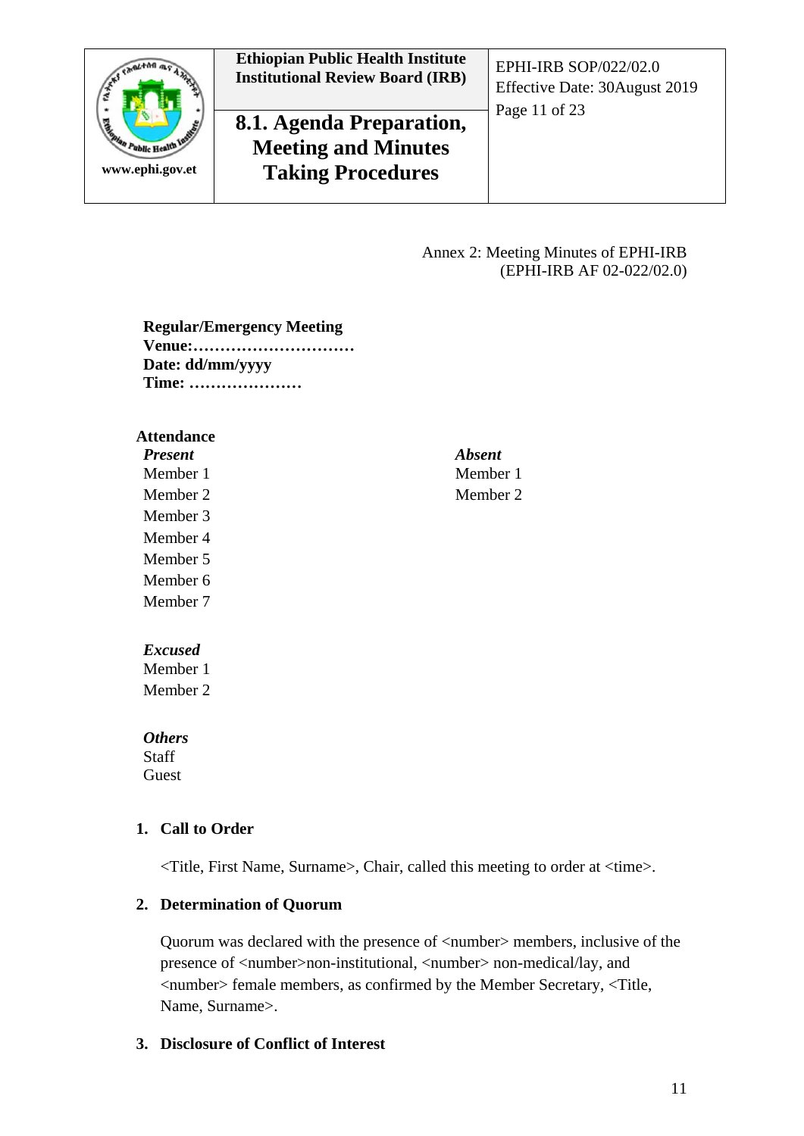

# **8.1. Agenda Preparation, Meeting and Minutes Taking Procedures**

Effective Date: 30August 2019 Page 11 of 23

#### Annex 2: Meeting Minutes of EPHI-IRB (EPHI-IRB AF 02-022/02.0)

<span id="page-10-0"></span>**Regular/Emergency Meeting Venue:………………………… Date: dd/mm/yyyy Time: …………………**

#### **Attendance**

| <b>Present</b> | <b>Absent</b> |
|----------------|---------------|
| Member 1       | Member 1      |
| Member 2       | Member 2      |
| Member 3       |               |
| Member 4       |               |
| Member 5       |               |
| Member 6       |               |
| Member 7       |               |
| <b>Excused</b> |               |
| Member 1       |               |
| Member 2       |               |

*Others* **Staff** 

Guest

#### **1. Call to Order**

<Title, First Name, Surname>, Chair, called this meeting to order at <time>.

#### **2. Determination of Quorum**

Quorum was declared with the presence of  $\langle$ number $\rangle$  members, inclusive of the presence of <number>non-institutional, <number> non-medical/lay, and <number> female members, as confirmed by the Member Secretary, <Title, Name, Surname>.

#### **3. Disclosure of Conflict of Interest**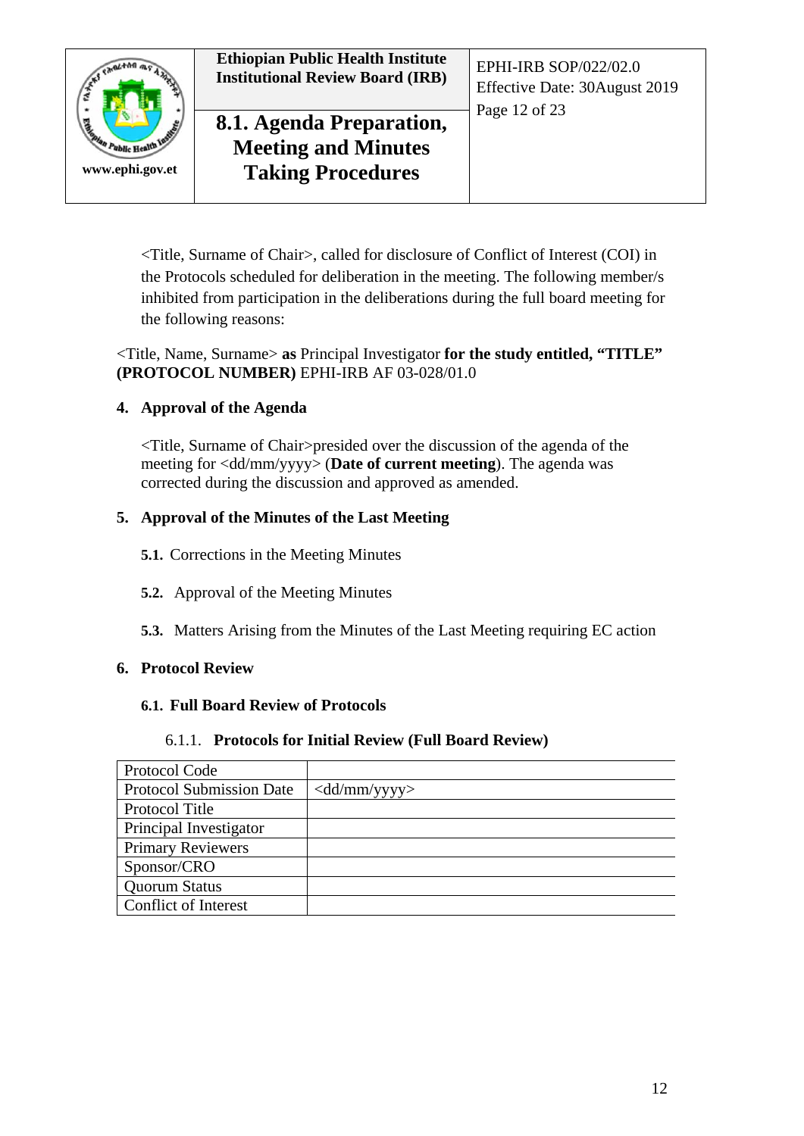

<Title, Surname of Chair>, called for disclosure of Conflict of Interest (COI) in the Protocols scheduled for deliberation in the meeting. The following member/s inhibited from participation in the deliberations during the full board meeting for the following reasons:

#### <Title, Name, Surname> **as** Principal Investigator **for the study entitled, "TITLE" (PROTOCOL NUMBER)** EPHI-IRB AF 03-028/01.0

## **4. Approval of the Agenda**

<Title, Surname of Chair>presided over the discussion of the agenda of the meeting for <dd/mm/yyyy> (**Date of current meeting**). The agenda was corrected during the discussion and approved as amended.

#### **5. Approval of the Minutes of the Last Meeting**

- **5.1.** Corrections in the Meeting Minutes
- **5.2.** Approval of the Meeting Minutes
- **5.3.** Matters Arising from the Minutes of the Last Meeting requiring EC action

#### **6. Protocol Review**

#### **6.1. Full Board Review of Protocols**

#### 6.1.1. **Protocols for Initial Review (Full Board Review)**

| Protocol Code                   |                                                 |
|---------------------------------|-------------------------------------------------|
| <b>Protocol Submission Date</b> | $\langle \text{dd}/\text{mm}/\text{yyy}\rangle$ |
| Protocol Title                  |                                                 |
| Principal Investigator          |                                                 |
| <b>Primary Reviewers</b>        |                                                 |
| Sponsor/CRO                     |                                                 |
| <b>Quorum Status</b>            |                                                 |
| Conflict of Interest            |                                                 |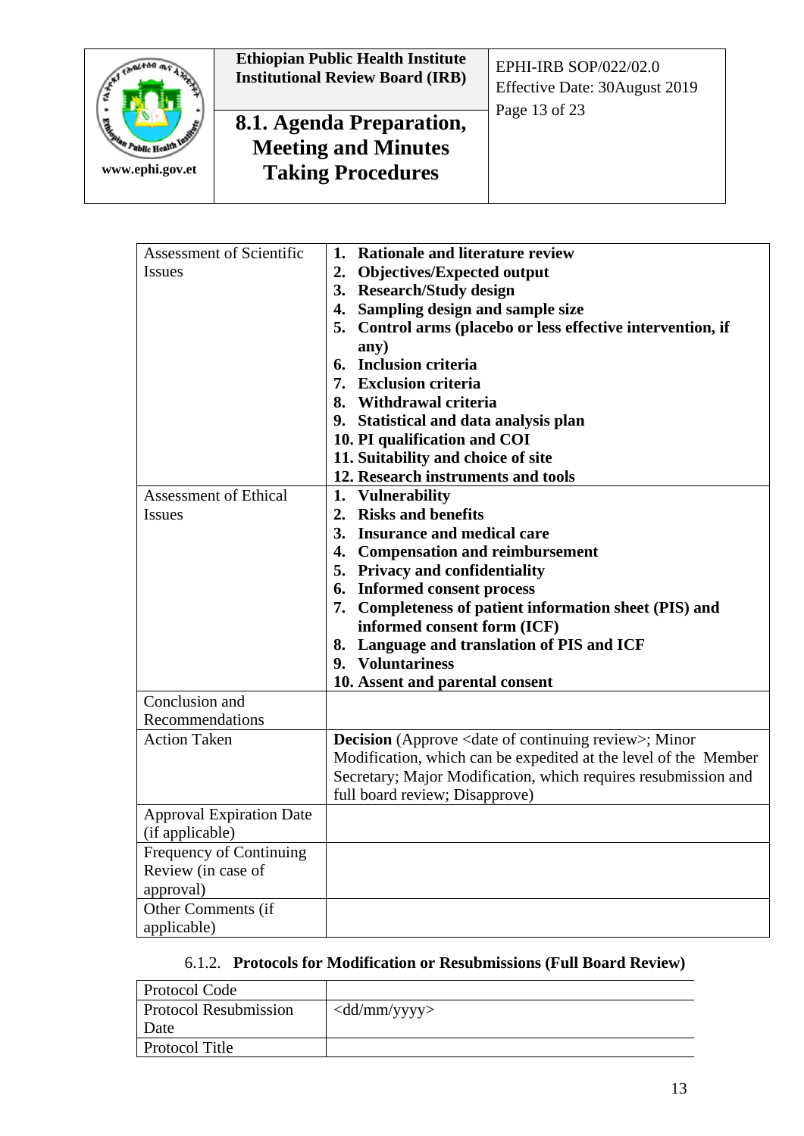

| Assessment of Scientific        | <b>Rationale and literature review</b><br>1.                                |
|---------------------------------|-----------------------------------------------------------------------------|
| <b>Issues</b>                   | 2. Objectives/Expected output                                               |
|                                 | 3. Research/Study design                                                    |
|                                 | 4. Sampling design and sample size                                          |
|                                 | 5. Control arms (placebo or less effective intervention, if                 |
|                                 | any)                                                                        |
|                                 | 6. Inclusion criteria                                                       |
|                                 | 7. Exclusion criteria                                                       |
|                                 | 8. Withdrawal criteria                                                      |
|                                 | 9. Statistical and data analysis plan                                       |
|                                 | 10. PI qualification and COI                                                |
|                                 | 11. Suitability and choice of site                                          |
|                                 | 12. Research instruments and tools                                          |
| <b>Assessment of Ethical</b>    | 1. Vulnerability                                                            |
| <b>Issues</b>                   | 2. Risks and benefits                                                       |
|                                 | 3. Insurance and medical care                                               |
|                                 | 4. Compensation and reimbursement                                           |
|                                 | 5. Privacy and confidentiality                                              |
|                                 | 6. Informed consent process                                                 |
|                                 | 7. Completeness of patient information sheet (PIS) and                      |
|                                 | informed consent form (ICF)                                                 |
|                                 | 8. Language and translation of PIS and ICF                                  |
|                                 | 9. Voluntariness                                                            |
|                                 | 10. Assent and parental consent                                             |
| Conclusion and                  |                                                                             |
| Recommendations                 |                                                                             |
| <b>Action Taken</b>             | <b>Decision</b> (Approve <date continuing="" of="" review="">; Minor</date> |
|                                 | Modification, which can be expedited at the level of the Member             |
|                                 | Secretary; Major Modification, which requires resubmission and              |
|                                 | full board review; Disapprove)                                              |
| <b>Approval Expiration Date</b> |                                                                             |
| (if applicable)                 |                                                                             |
| Frequency of Continuing         |                                                                             |
| Review (in case of              |                                                                             |
| approval)                       |                                                                             |
| Other Comments (if              |                                                                             |
| applicable)                     |                                                                             |

## 6.1.2. **Protocols for Modification or Resubmissions (Full Board Review)**

| Protocol Code                |                                                 |
|------------------------------|-------------------------------------------------|
| <b>Protocol Resubmission</b> | $\langle \text{dd}/\text{mm}/\text{yyy}\rangle$ |
| Date                         |                                                 |
| <b>Protocol Title</b>        |                                                 |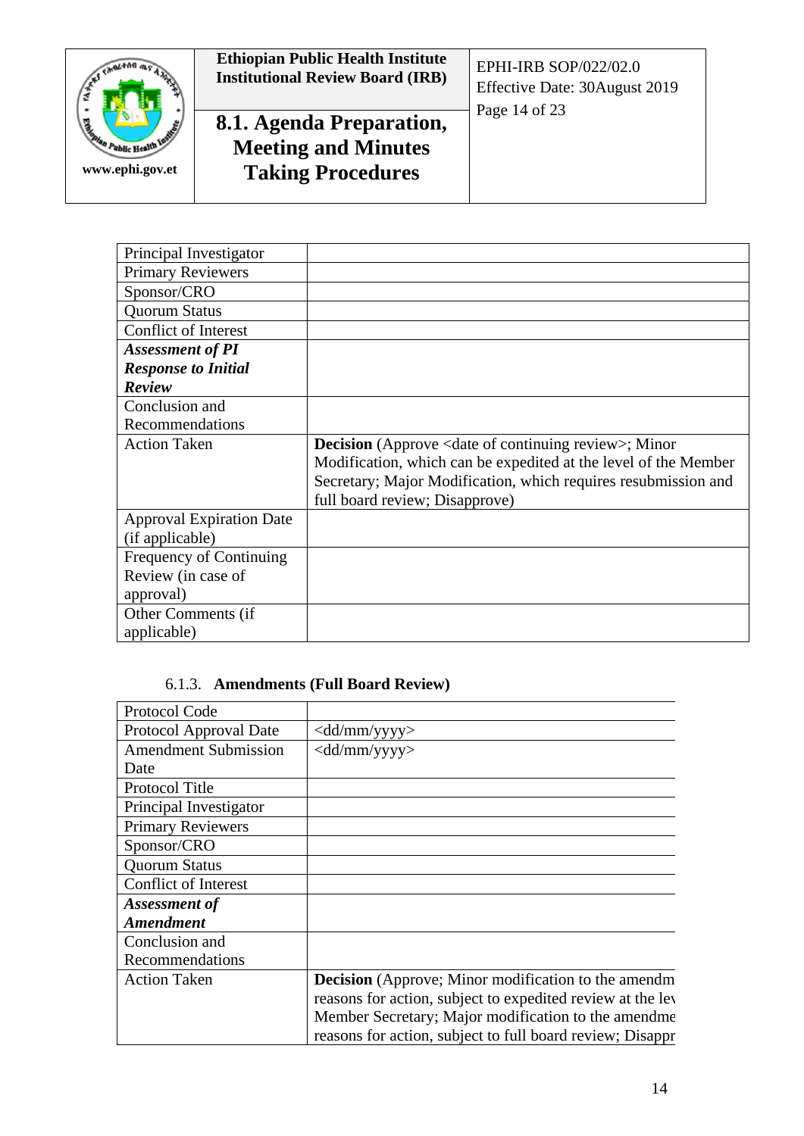

| Principal Investigator          |                                                                                                                                                                                                                                                       |
|---------------------------------|-------------------------------------------------------------------------------------------------------------------------------------------------------------------------------------------------------------------------------------------------------|
| <b>Primary Reviewers</b>        |                                                                                                                                                                                                                                                       |
| Sponsor/CRO                     |                                                                                                                                                                                                                                                       |
| <b>Quorum Status</b>            |                                                                                                                                                                                                                                                       |
| <b>Conflict of Interest</b>     |                                                                                                                                                                                                                                                       |
| <b>Assessment of PI</b>         |                                                                                                                                                                                                                                                       |
| <b>Response to Initial</b>      |                                                                                                                                                                                                                                                       |
| Review                          |                                                                                                                                                                                                                                                       |
| Conclusion and                  |                                                                                                                                                                                                                                                       |
| Recommendations                 |                                                                                                                                                                                                                                                       |
|                                 |                                                                                                                                                                                                                                                       |
| <b>Action Taken</b>             | <b>Decision</b> (Approve <date continuing="" of="" review="">; Minor<br/>Modification, which can be expedited at the level of the Member<br/>Secretary; Major Modification, which requires resubmission and<br/>full board review; Disapprove)</date> |
| <b>Approval Expiration Date</b> |                                                                                                                                                                                                                                                       |
| (if applicable)                 |                                                                                                                                                                                                                                                       |
| Frequency of Continuing         |                                                                                                                                                                                                                                                       |
| Review (in case of              |                                                                                                                                                                                                                                                       |
| approval)                       |                                                                                                                                                                                                                                                       |

#### 6.1.3. **Amendments (Full Board Review)**

| Protocol Code               |                                                            |
|-----------------------------|------------------------------------------------------------|
| Protocol Approval Date      | <dd mm="" yyyy=""></dd>                                    |
| <b>Amendment Submission</b> | <dd mm="" yyyy=""></dd>                                    |
| Date                        |                                                            |
| <b>Protocol Title</b>       |                                                            |
| Principal Investigator      |                                                            |
| <b>Primary Reviewers</b>    |                                                            |
| Sponsor/CRO                 |                                                            |
| <b>Quorum Status</b>        |                                                            |
| <b>Conflict of Interest</b> |                                                            |
| Assessment of               |                                                            |
| <b>Amendment</b>            |                                                            |
| Conclusion and              |                                                            |
| Recommendations             |                                                            |
| <b>Action Taken</b>         | <b>Decision</b> (Approve; Minor modification to the amendm |
|                             | reasons for action, subject to expedited review at the lev |
|                             | Member Secretary; Major modification to the amendme        |
|                             | reasons for action, subject to full board review; Disappr  |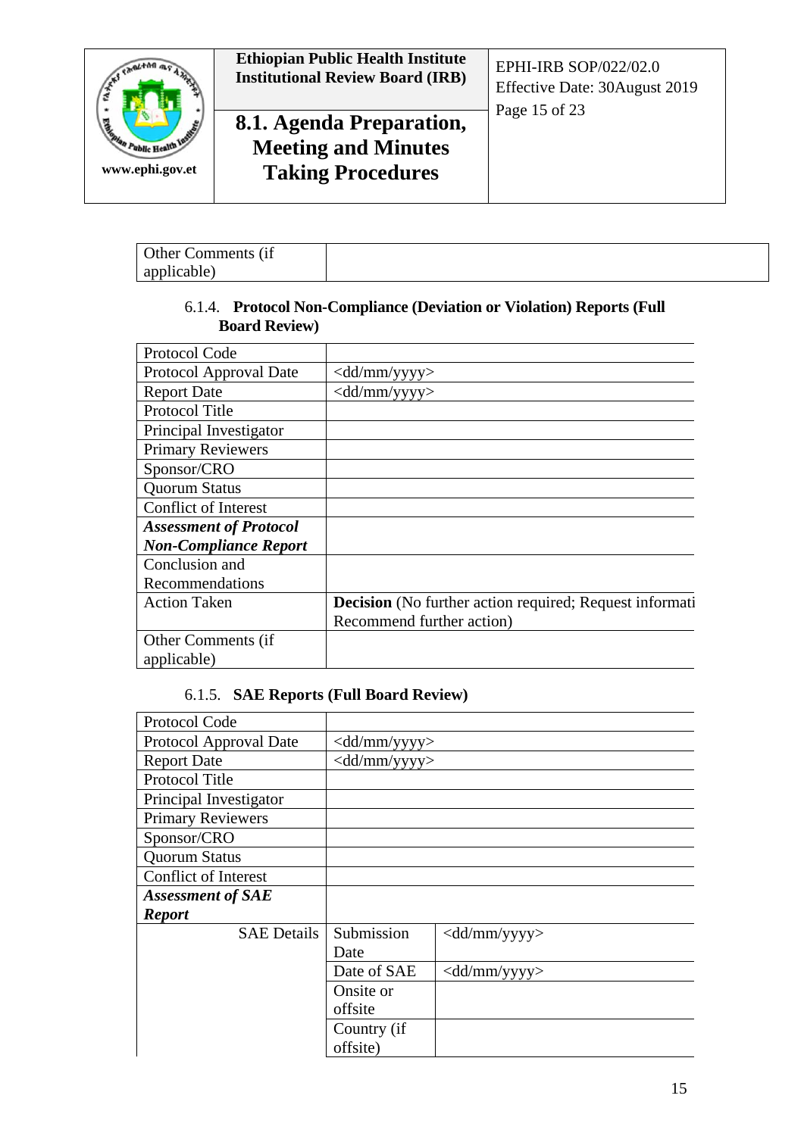

#### 6.1.4. **Protocol Non-Compliance (Deviation or Violation) Reports (Full Board Review)**

| Protocol Code                 |                                                         |
|-------------------------------|---------------------------------------------------------|
| Protocol Approval Date        | $\langle \text{dd}/\text{mm}/\text{yyy}\rangle$         |
| <b>Report Date</b>            | $\langle \text{dd}/\text{mm}/\text{yyy}\rangle$         |
| <b>Protocol Title</b>         |                                                         |
| Principal Investigator        |                                                         |
| <b>Primary Reviewers</b>      |                                                         |
| Sponsor/CRO                   |                                                         |
| <b>Quorum Status</b>          |                                                         |
| <b>Conflict of Interest</b>   |                                                         |
| <b>Assessment of Protocol</b> |                                                         |
| <b>Non-Compliance Report</b>  |                                                         |
| Conclusion and                |                                                         |
| Recommendations               |                                                         |
| <b>Action Taken</b>           | Decision (No further action required; Request informati |
|                               | Recommend further action)                               |
| Other Comments (if            |                                                         |
| applicable)                   |                                                         |

#### 6.1.5. **SAE Reports (Full Board Review)**

| Protocol Code            |                                                 |                                                 |
|--------------------------|-------------------------------------------------|-------------------------------------------------|
| Protocol Approval Date   | <dd mm="" yyyy=""></dd>                         |                                                 |
| <b>Report Date</b>       | $\langle \text{dd}/\text{mm}/\text{yyy}\rangle$ |                                                 |
| Protocol Title           |                                                 |                                                 |
| Principal Investigator   |                                                 |                                                 |
| <b>Primary Reviewers</b> |                                                 |                                                 |
| Sponsor/CRO              |                                                 |                                                 |
| <b>Quorum Status</b>     |                                                 |                                                 |
| Conflict of Interest     |                                                 |                                                 |
| <b>Assessment of SAE</b> |                                                 |                                                 |
| <b>Report</b>            |                                                 |                                                 |
| <b>SAE Details</b>       | Submission                                      | $\langle \text{dd}/\text{mm}/\text{yyy}\rangle$ |
|                          | Date                                            |                                                 |
|                          | Date of SAE                                     | $\langle \text{dd}/\text{mm}/\text{yy} \rangle$ |
|                          | Onsite or                                       |                                                 |
|                          | offsite                                         |                                                 |
|                          | Country (if                                     |                                                 |
|                          | offsite)                                        |                                                 |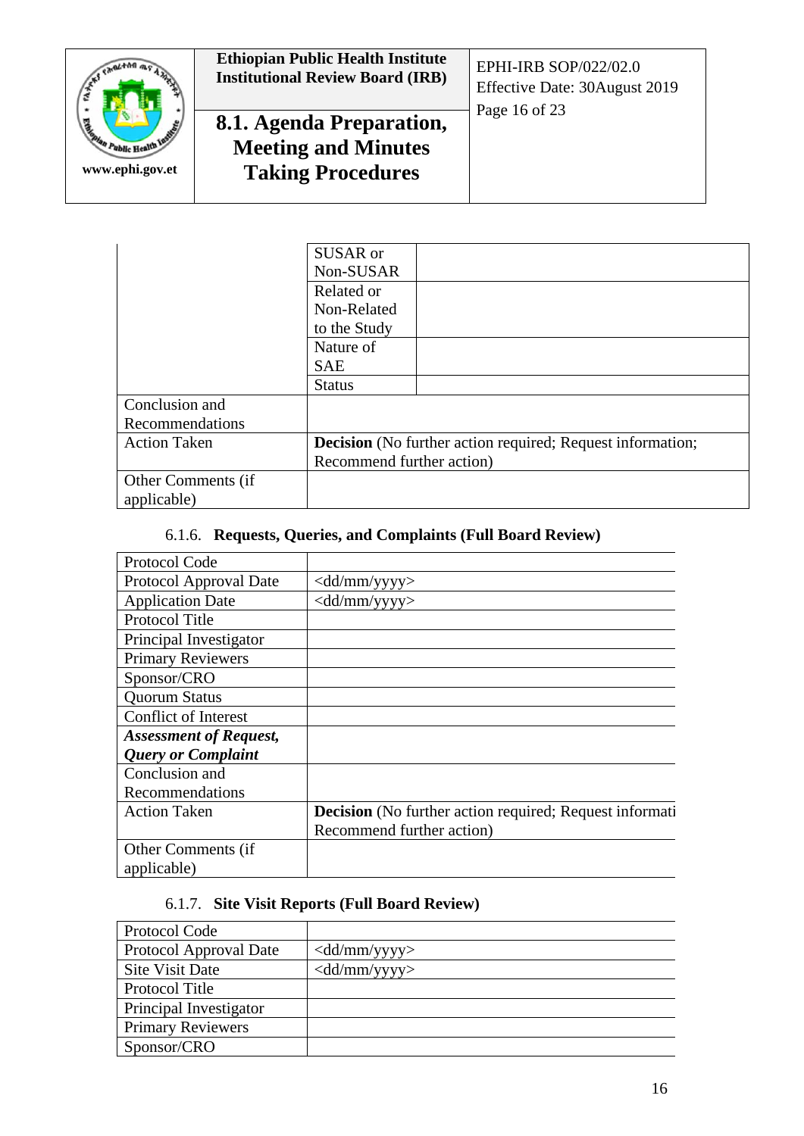

|                     | SUSAR or                                                          |
|---------------------|-------------------------------------------------------------------|
|                     | Non-SUSAR                                                         |
|                     | Related or                                                        |
|                     | Non-Related                                                       |
|                     | to the Study                                                      |
|                     | Nature of                                                         |
|                     | <b>SAE</b>                                                        |
|                     | <b>Status</b>                                                     |
| Conclusion and      |                                                                   |
| Recommendations     |                                                                   |
| <b>Action Taken</b> | <b>Decision</b> (No further action required; Request information; |
|                     | Recommend further action)                                         |
| Other Comments (if  |                                                                   |
| applicable)         |                                                                   |

#### 6.1.6. **Requests, Queries, and Complaints (Full Board Review)**

| Protocol Code                 |                                                                |
|-------------------------------|----------------------------------------------------------------|
| Protocol Approval Date        | $\langle \text{dd}/\text{mm}/\text{yyy}\rangle$                |
| <b>Application Date</b>       | $\langle \text{dd}/\text{mm}/\text{yyy}\rangle$                |
| <b>Protocol Title</b>         |                                                                |
| Principal Investigator        |                                                                |
| <b>Primary Reviewers</b>      |                                                                |
| Sponsor/CRO                   |                                                                |
| <b>Quorum Status</b>          |                                                                |
| Conflict of Interest          |                                                                |
| <b>Assessment of Request,</b> |                                                                |
| <b>Query or Complaint</b>     |                                                                |
| Conclusion and                |                                                                |
| Recommendations               |                                                                |
| <b>Action Taken</b>           | <b>Decision</b> (No further action required; Request informati |
|                               | Recommend further action)                                      |
| Other Comments (if            |                                                                |
| applicable)                   |                                                                |

## 6.1.7. **Site Visit Reports (Full Board Review)**

| Protocol Code            |                                                 |
|--------------------------|-------------------------------------------------|
| Protocol Approval Date   | $\langle \text{dd}/\text{mm}/\text{yyy}\rangle$ |
| Site Visit Date          | $\langle \text{dd}/\text{mm}/\text{yyy}\rangle$ |
| Protocol Title           |                                                 |
| Principal Investigator   |                                                 |
| <b>Primary Reviewers</b> |                                                 |
| Sponsor/CRO              |                                                 |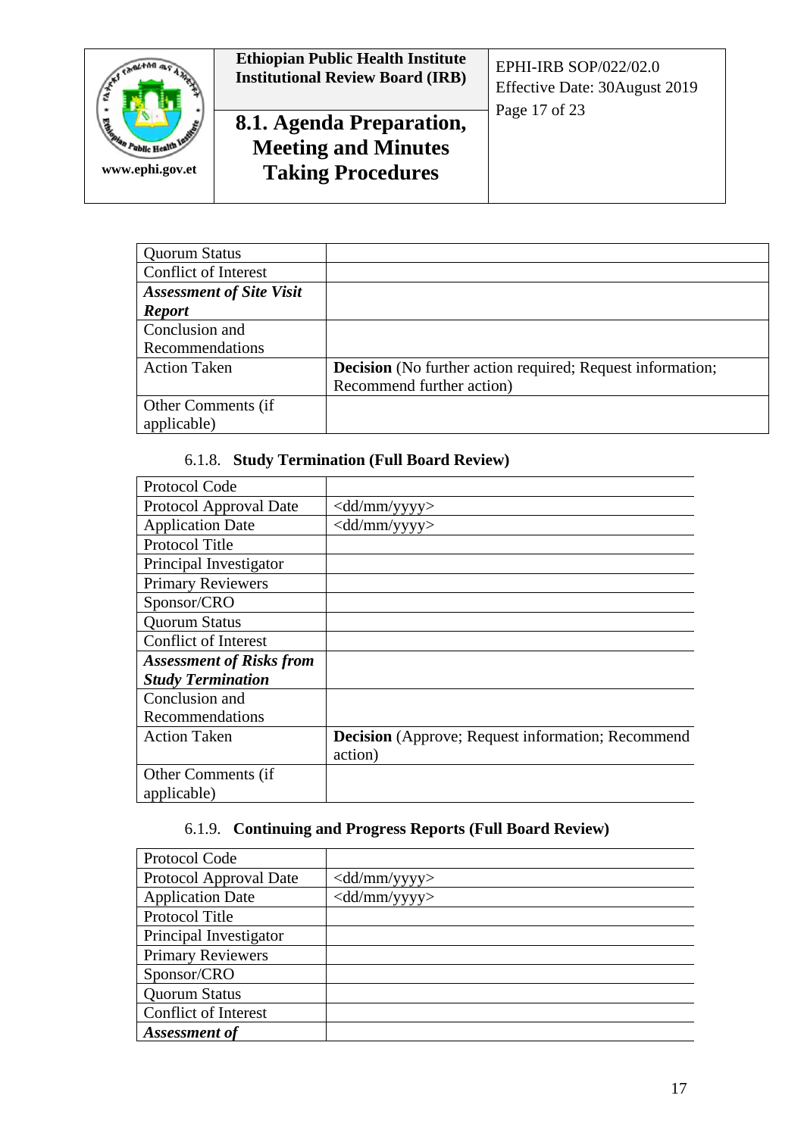

| <b>Quorum Status</b>            |                                                                   |
|---------------------------------|-------------------------------------------------------------------|
| Conflict of Interest            |                                                                   |
| <b>Assessment of Site Visit</b> |                                                                   |
| <b>Report</b>                   |                                                                   |
| Conclusion and                  |                                                                   |
| Recommendations                 |                                                                   |
| <b>Action Taken</b>             | <b>Decision</b> (No further action required; Request information; |
|                                 | Recommend further action)                                         |
| Other Comments (if              |                                                                   |
| applicable)                     |                                                                   |

#### 6.1.8. **Study Termination (Full Board Review)**

| Protocol Code                   |                                                          |
|---------------------------------|----------------------------------------------------------|
| Protocol Approval Date          | <dd mm="" yyyy=""></dd>                                  |
| <b>Application Date</b>         | $\langle \text{dd}/\text{mm}/\text{yyy}\rangle$          |
| Protocol Title                  |                                                          |
| Principal Investigator          |                                                          |
| <b>Primary Reviewers</b>        |                                                          |
| Sponsor/CRO                     |                                                          |
| <b>Quorum Status</b>            |                                                          |
| <b>Conflict of Interest</b>     |                                                          |
| <b>Assessment of Risks from</b> |                                                          |
| <b>Study Termination</b>        |                                                          |
| Conclusion and                  |                                                          |
| Recommendations                 |                                                          |
| <b>Action Taken</b>             | <b>Decision</b> (Approve; Request information; Recommend |
|                                 | action)                                                  |
| Other Comments (if              |                                                          |
| applicable)                     |                                                          |

## 6.1.9. **Continuing and Progress Reports (Full Board Review)**

| Protocol Code               |                                                 |
|-----------------------------|-------------------------------------------------|
| Protocol Approval Date      | $\langle \text{dd}/\text{mm}/\text{yyy}\rangle$ |
| <b>Application Date</b>     | $\langle \text{dd}/\text{mm}/\text{yyy}\rangle$ |
| Protocol Title              |                                                 |
| Principal Investigator      |                                                 |
| <b>Primary Reviewers</b>    |                                                 |
| Sponsor/CRO                 |                                                 |
| <b>Quorum Status</b>        |                                                 |
| <b>Conflict of Interest</b> |                                                 |
| Assessment of               |                                                 |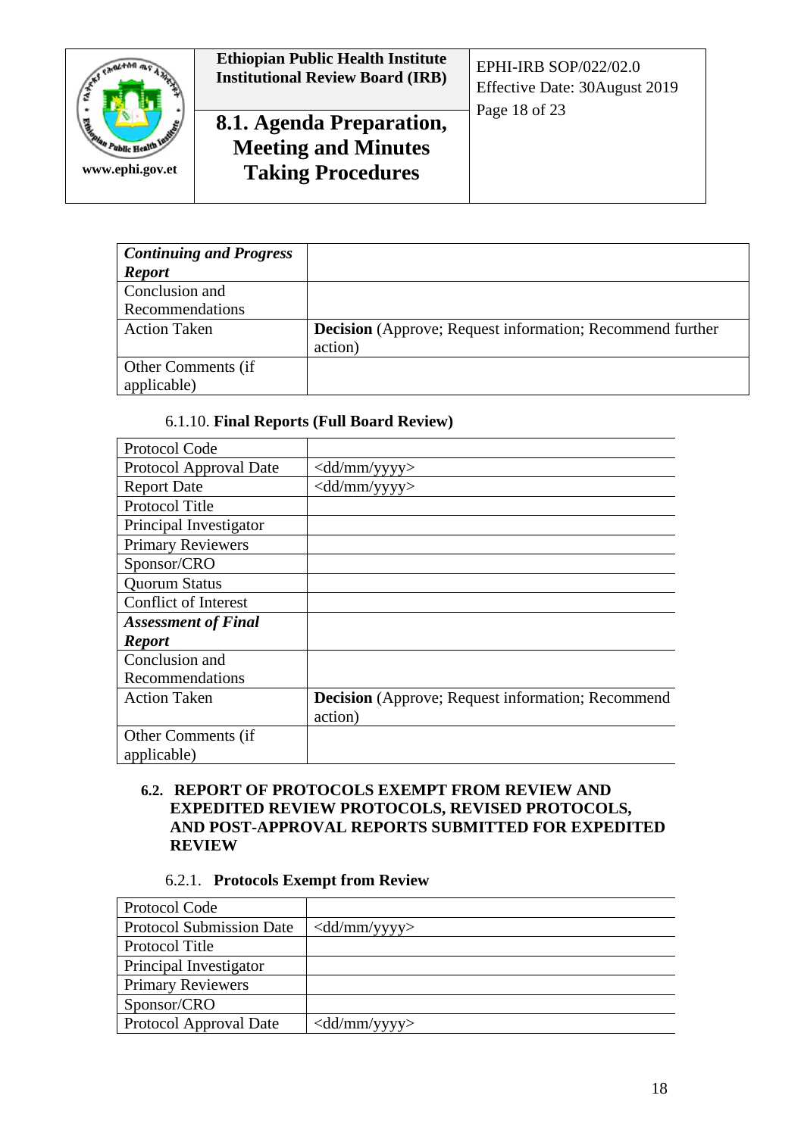

| <b>Continuing and Progress</b> |                                                                  |
|--------------------------------|------------------------------------------------------------------|
| <b>Report</b>                  |                                                                  |
| Conclusion and                 |                                                                  |
| Recommendations                |                                                                  |
| <b>Action Taken</b>            | <b>Decision</b> (Approve; Request information; Recommend further |
|                                | action)                                                          |
| Other Comments (if             |                                                                  |
| applicable)                    |                                                                  |

#### 6.1.10. **Final Reports (Full Board Review)**

| Protocol Code               |                                                          |
|-----------------------------|----------------------------------------------------------|
| Protocol Approval Date      | $\langle \text{dd}/\text{mm}/\text{yyy}\rangle$          |
| <b>Report Date</b>          | $\langle \text{dd}/\text{mm}/\text{yyy}\rangle$          |
| <b>Protocol Title</b>       |                                                          |
| Principal Investigator      |                                                          |
| <b>Primary Reviewers</b>    |                                                          |
| Sponsor/CRO                 |                                                          |
| <b>Quorum Status</b>        |                                                          |
| <b>Conflict of Interest</b> |                                                          |
| <b>Assessment of Final</b>  |                                                          |
| <b>Report</b>               |                                                          |
| Conclusion and              |                                                          |
| Recommendations             |                                                          |
| <b>Action Taken</b>         | <b>Decision</b> (Approve; Request information; Recommend |
|                             | action)                                                  |
| Other Comments (if          |                                                          |
| applicable)                 |                                                          |

#### **6.2. REPORT OF PROTOCOLS EXEMPT FROM REVIEW AND EXPEDITED REVIEW PROTOCOLS, REVISED PROTOCOLS, AND POST-APPROVAL REPORTS SUBMITTED FOR EXPEDITED REVIEW**

#### 6.2.1. **Protocols Exempt from Review**

| Protocol Code                   |                                                 |
|---------------------------------|-------------------------------------------------|
| <b>Protocol Submission Date</b> | $\langle \text{dd}/\text{mm}/\text{yyy}\rangle$ |
| Protocol Title                  |                                                 |
| Principal Investigator          |                                                 |
| <b>Primary Reviewers</b>        |                                                 |
| Sponsor/CRO                     |                                                 |
| <b>Protocol Approval Date</b>   | $\langle \text{dd}/\text{mm}/\text{yyy}\rangle$ |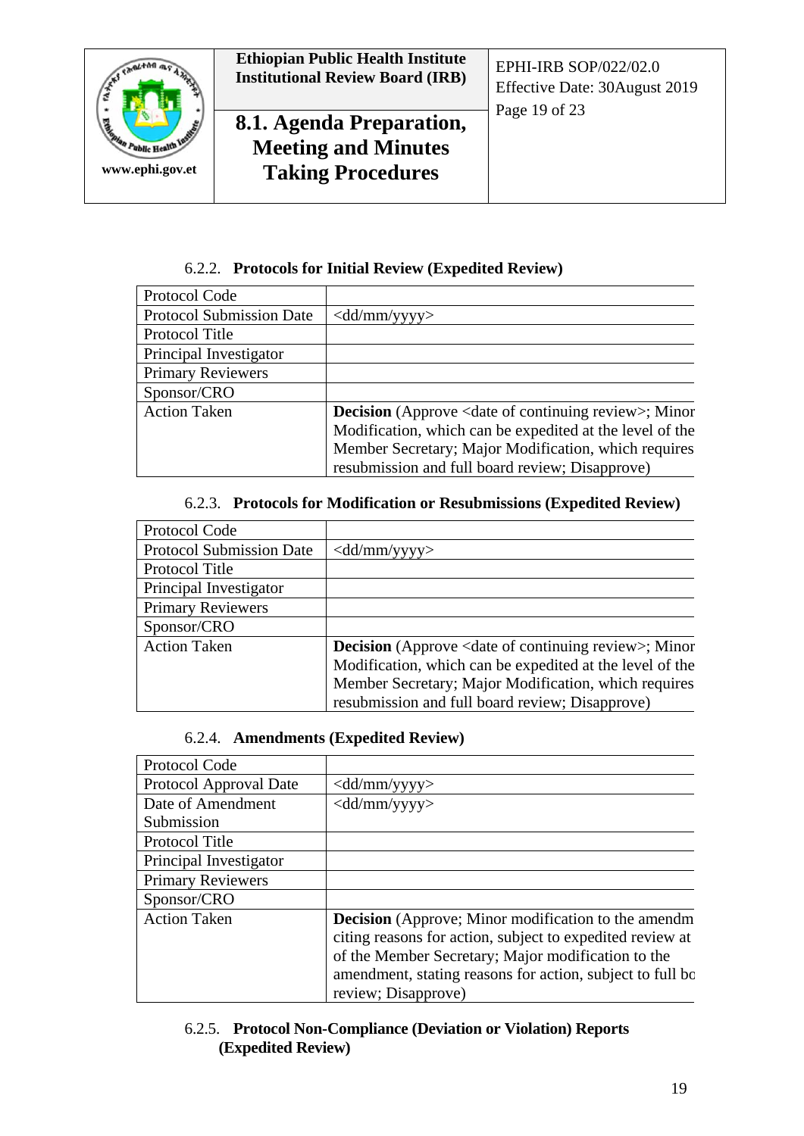

#### 6.2.2. **Protocols for Initial Review (Expedited Review)**

| Protocol Code                   |                                                                             |
|---------------------------------|-----------------------------------------------------------------------------|
| <b>Protocol Submission Date</b> | $\langle \text{dd}/\text{mm}/\text{yyy}\rangle$                             |
| Protocol Title                  |                                                                             |
| Principal Investigator          |                                                                             |
| <b>Primary Reviewers</b>        |                                                                             |
| Sponsor/CRO                     |                                                                             |
| <b>Action Taken</b>             | <b>Decision</b> (Approve <date continuing="" of="" review="">; Minor</date> |
|                                 | Modification, which can be expedited at the level of the                    |
|                                 | Member Secretary; Major Modification, which requires                        |
|                                 | resubmission and full board review; Disapprove)                             |

#### 6.2.3. **Protocols for Modification or Resubmissions (Expedited Review)**

| Protocol Code                   |                                                                             |
|---------------------------------|-----------------------------------------------------------------------------|
| <b>Protocol Submission Date</b> | $\langle \text{dd}/\text{mm}/\text{yyy}\rangle$                             |
| Protocol Title                  |                                                                             |
| Principal Investigator          |                                                                             |
| <b>Primary Reviewers</b>        |                                                                             |
| Sponsor/CRO                     |                                                                             |
| <b>Action Taken</b>             | <b>Decision</b> (Approve <date continuing="" of="" review="">; Minor</date> |
|                                 | Modification, which can be expedited at the level of the                    |
|                                 | Member Secretary; Major Modification, which requires                        |
|                                 | resubmission and full board review; Disapprove)                             |

#### 6.2.4. **Amendments (Expedited Review)**

| Protocol Code            |                                                                                                                                                                                                                                                                    |
|--------------------------|--------------------------------------------------------------------------------------------------------------------------------------------------------------------------------------------------------------------------------------------------------------------|
| Protocol Approval Date   | $\langle \text{dd}/\text{mm}/\text{yyy}\rangle$                                                                                                                                                                                                                    |
| Date of Amendment        | $\langle \text{dd}/\text{mm}/\text{yyy}\rangle$                                                                                                                                                                                                                    |
| Submission               |                                                                                                                                                                                                                                                                    |
| <b>Protocol Title</b>    |                                                                                                                                                                                                                                                                    |
| Principal Investigator   |                                                                                                                                                                                                                                                                    |
| <b>Primary Reviewers</b> |                                                                                                                                                                                                                                                                    |
| Sponsor/CRO              |                                                                                                                                                                                                                                                                    |
| <b>Action Taken</b>      | <b>Decision</b> (Approve; Minor modification to the amendm<br>citing reasons for action, subject to expedited review at<br>of the Member Secretary; Major modification to the<br>amendment, stating reasons for action, subject to full be.<br>review; Disapprove) |

#### 6.2.5. **Protocol Non-Compliance (Deviation or Violation) Reports (Expedited Review)**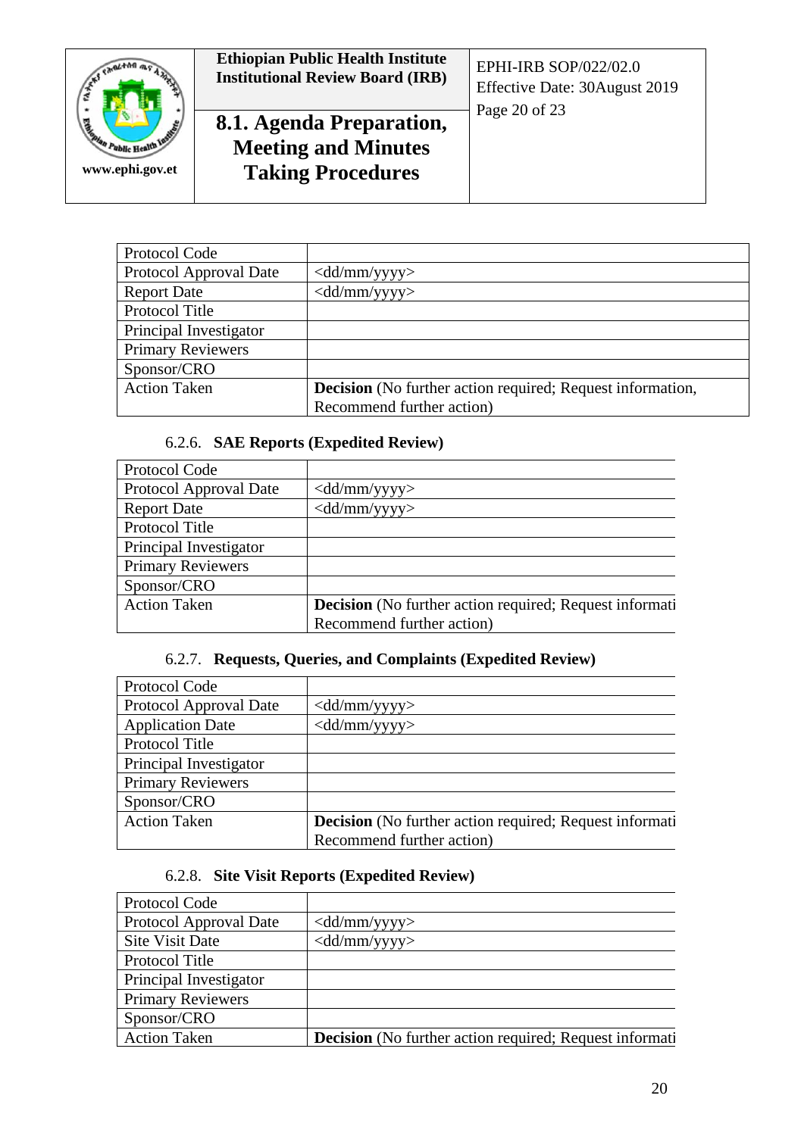

# **Ethiopian Public Health Institute Institutional Review Board (IRB)** EPHI-IRB SOP/022/02.0 **8.1. Agenda Preparation, Meeting and Minutes Taking Procedures**

| Protocol Code            |                                                            |
|--------------------------|------------------------------------------------------------|
| Protocol Approval Date   | $\langle \text{dd}/\text{mm}/\text{yyy}\rangle$            |
| <b>Report Date</b>       | $\langle \text{dd}/\text{mm}/\text{yyy}\rangle$            |
| Protocol Title           |                                                            |
| Principal Investigator   |                                                            |
| <b>Primary Reviewers</b> |                                                            |
| Sponsor/CRO              |                                                            |
| <b>Action Taken</b>      | Decision (No further action required; Request information, |
|                          | Recommend further action)                                  |

# 6.2.6. **SAE Reports (Expedited Review)**

| Protocol Code            |                                                                |
|--------------------------|----------------------------------------------------------------|
| Protocol Approval Date   | $\langle \text{dd}/\text{mm}/\text{yyy}\rangle$                |
| <b>Report Date</b>       | $\langle dd/mm/yyyy\rangle$                                    |
| Protocol Title           |                                                                |
| Principal Investigator   |                                                                |
| <b>Primary Reviewers</b> |                                                                |
| Sponsor/CRO              |                                                                |
| <b>Action Taken</b>      | <b>Decision</b> (No further action required; Request informati |
|                          | Recommend further action)                                      |

# 6.2.7. **Requests, Queries, and Complaints (Expedited Review)**

| Protocol Code            |                                                                |
|--------------------------|----------------------------------------------------------------|
| Protocol Approval Date   | $\langle \text{dd}/\text{mm}/\text{yyy}\rangle$                |
| <b>Application Date</b>  | $\langle \text{dd/mm}/\text{yyyy}\rangle$                      |
| Protocol Title           |                                                                |
| Principal Investigator   |                                                                |
| <b>Primary Reviewers</b> |                                                                |
| Sponsor/CRO              |                                                                |
| <b>Action Taken</b>      | <b>Decision</b> (No further action required; Request informati |
|                          | Recommend further action)                                      |

# 6.2.8. **Site Visit Reports (Expedited Review)**

| Protocol Code            |                                                                |
|--------------------------|----------------------------------------------------------------|
| Protocol Approval Date   | $\langle \text{dd}/\text{mm}/\text{yyy}\rangle$                |
| <b>Site Visit Date</b>   | $\langle \text{dd}/\text{mm}/\text{yyy}\rangle$                |
| Protocol Title           |                                                                |
| Principal Investigator   |                                                                |
| <b>Primary Reviewers</b> |                                                                |
| Sponsor/CRO              |                                                                |
| <b>Action Taken</b>      | <b>Decision</b> (No further action required; Request informati |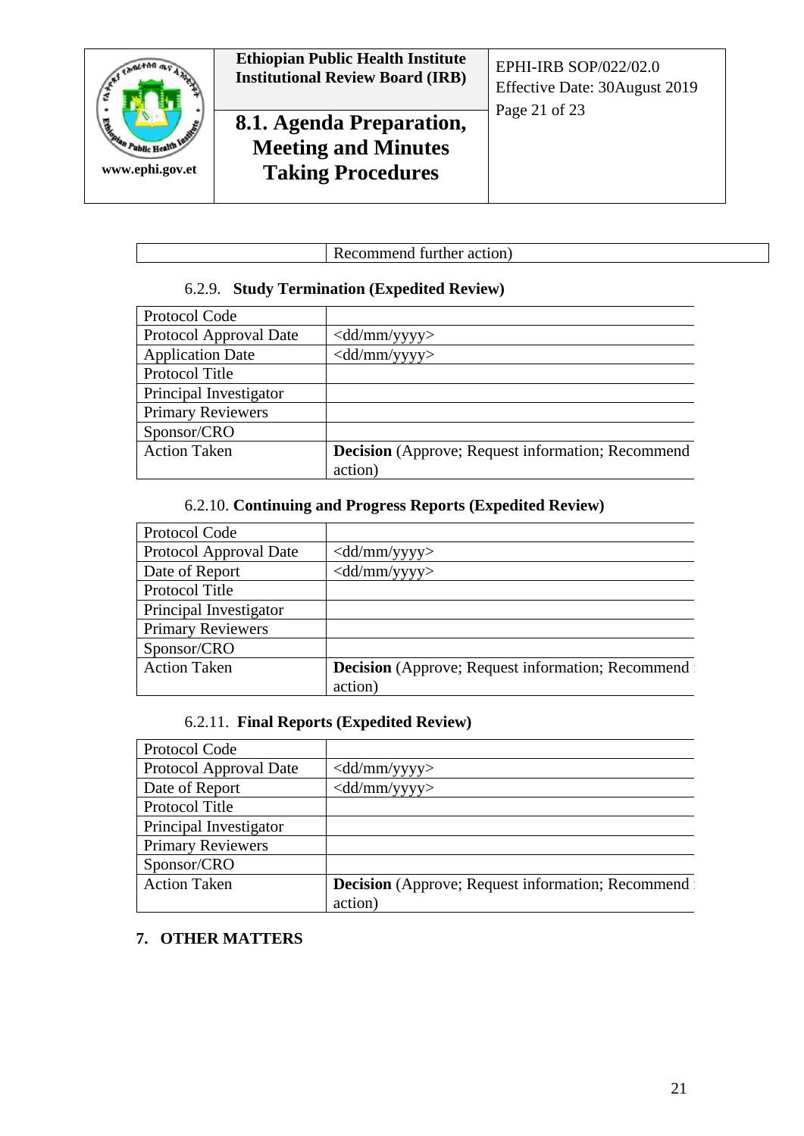

#### 6.2.9. **Study Termination (Expedited Review)**

| Protocol Code            |                                                          |
|--------------------------|----------------------------------------------------------|
| Protocol Approval Date   | $\langle \text{dd}/\text{mm}/\text{yyy}\rangle$          |
| <b>Application Date</b>  | $\langle \text{dd}/\text{mm}/\text{yyy}\rangle$          |
| Protocol Title           |                                                          |
| Principal Investigator   |                                                          |
| <b>Primary Reviewers</b> |                                                          |
| Sponsor/CRO              |                                                          |
| <b>Action Taken</b>      | <b>Decision</b> (Approve; Request information; Recommend |
|                          | action)                                                  |

#### 6.2.10. **Continuing and Progress Reports (Expedited Review)**

| Protocol Code            |                                                           |
|--------------------------|-----------------------------------------------------------|
| Protocol Approval Date   | $\langle \text{dd}/\text{mm}/\text{yyy}\rangle$           |
| Date of Report           | $\langle \text{dd}/\text{mm}/\text{yyy}\rangle$           |
| Protocol Title           |                                                           |
| Principal Investigator   |                                                           |
| <b>Primary Reviewers</b> |                                                           |
| Sponsor/CRO              |                                                           |
| <b>Action Taken</b>      | <b>Decision</b> (Approve; Request information; Recommend: |
|                          | action)                                                   |

## 6.2.11. **Final Reports (Expedited Review)**

| Protocol Code            |                                                          |
|--------------------------|----------------------------------------------------------|
| Protocol Approval Date   | $\langle \text{dd}/\text{mm}/\text{yyy}\rangle$          |
| Date of Report           | $\langle dd/mm/yyyy\rangle$                              |
| Protocol Title           |                                                          |
| Principal Investigator   |                                                          |
| <b>Primary Reviewers</b> |                                                          |
| Sponsor/CRO              |                                                          |
| <b>Action Taken</b>      | <b>Decision</b> (Approve; Request information; Recommend |
|                          | action)                                                  |

#### **7. OTHER MATTERS**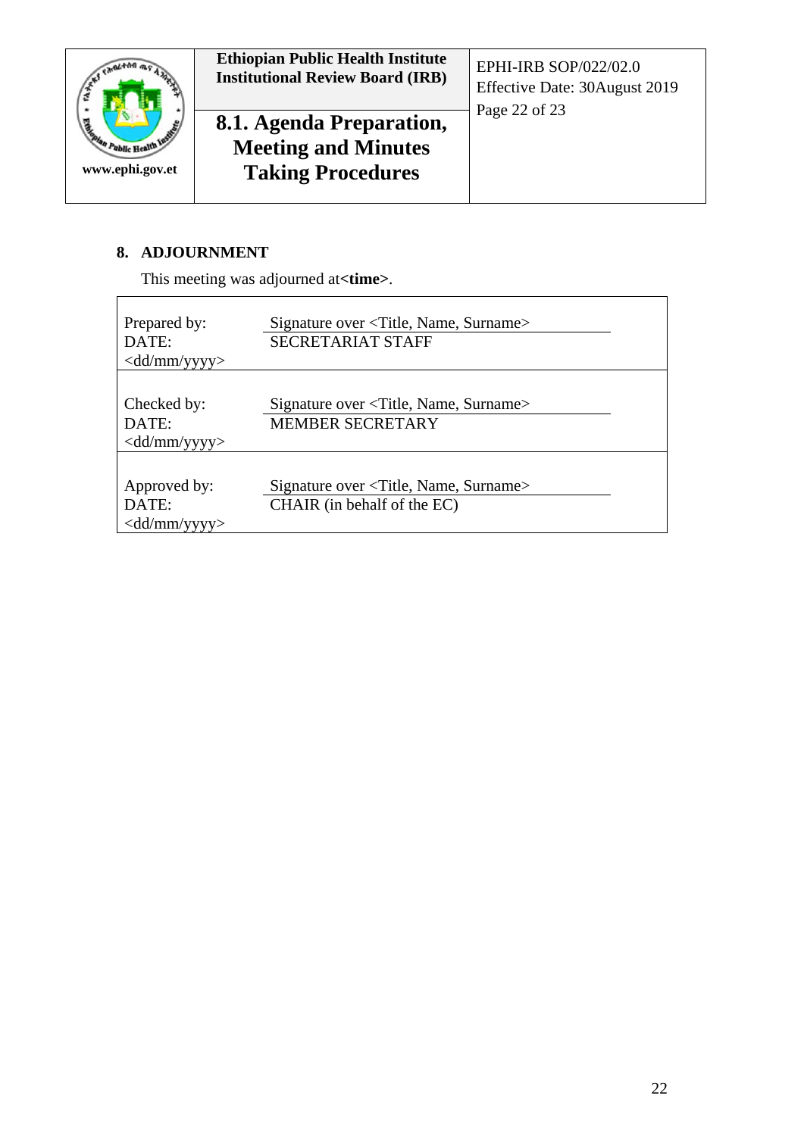

#### **8. ADJOURNMENT**

This meeting was adjourned at**<time>**.

| Prepared by:<br>DATE:<br>$\langle \text{dd}/\text{mm}/\text{yyy}\rangle$ | Signature over <title, name,="" surname=""><br/><b>SECRETARIAT STAFF</b></title,>    |
|--------------------------------------------------------------------------|--------------------------------------------------------------------------------------|
| Checked by:<br>DATE:<br>$\langle \text{dd}/\text{mm}/\text{yyy}\rangle$  | Signature over <title, name,="" surname=""><br/><b>MEMBER SECRETARY</b></title,>     |
| Approved by:<br>DATE:<br>$\langle \text{dd}/\text{mm}/\text{yyy}\rangle$ | Signature over <title, name,="" surname=""><br/>CHAIR (in behalf of the EC)</title,> |